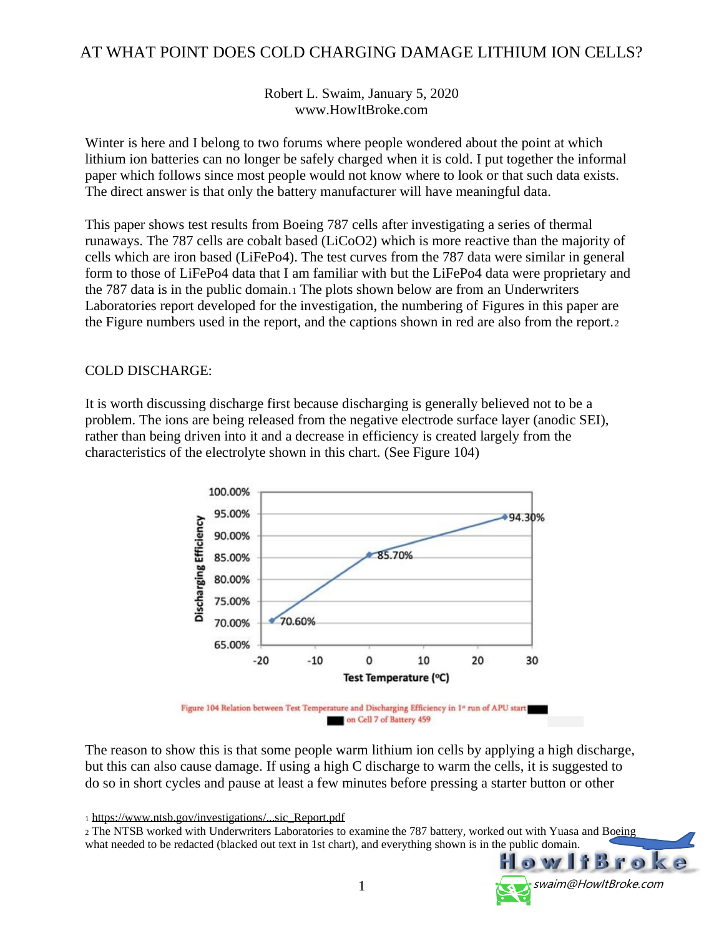#### AT WHAT POINT DOES COLD CHARGING DAMAGE LITHIUM ION CELLS?

Robert L. Swaim, January 5, 2020 www.HowItBroke.com

Winter is here and I belong to two forums where people wondered about the point at which lithium ion batteries can no longer be safely charged when it is cold. I put together the informal paper which follows since most people would not know where to look or that such data exists. The direct answer is that only the battery manufacturer will have meaningful data.

This paper shows test results from Boeing 787 cells after investigating a series of thermal runaways. The 787 cells are cobalt based (LiCoO2) which is more reactive than the majority of cells which are iron based (LiFePo4). The test curves from the 787 data were similar in general form to those of [LiFePo4](http://www.cruisersforum.com/forums/tags/lifepo4.html) data that I am familiar with but the [LiFePo4](http://www.cruisersforum.com/forums/tags/lifepo4.html) data were proprietary and the 787 data is in the public domain.<sup>1</sup> The plots shown below are from an Underwriters Laboratories report developed for the investigation, the numbering of Figures in this paper are the Figure numbers used in the report, and the captions shown in red are also from the report.<sup>2</sup>

#### COLD DISCHARGE:

It is worth discussing discharge first because discharging is generally believed not to be a problem. The ions are being released from the negative electrode surface layer (anodic SEI), rather than being driven into it and a decrease in efficiency is created largely from the characteristics of the electrolyte shown in this chart. (See Figure 104)



The reason to show this is that some people warm lithium ion cells by applying a high discharge, but this can also cause damage. If using a high C discharge to warm the cells, it is suggested to do so in short cycles and pause at least a few minutes before pressing a starter button or other

<sup>1</sup> [https://www.ntsb.gov/investigations/...sic\\_Report.pdf](https://www.ntsb.gov/investigations/AccidentReports/Documents/UL_Forensic_Report.pdf)

<sup>2</sup> The NTSB worked with Underwriters Laboratories to examine the 787 [battery,](http://www.cruisersforum.com/forums/tags/battery.html) worked out with Yuasa and Boeing what needed to be redacted (blacked out text in 1st chart), and everything shown is in the public domain.

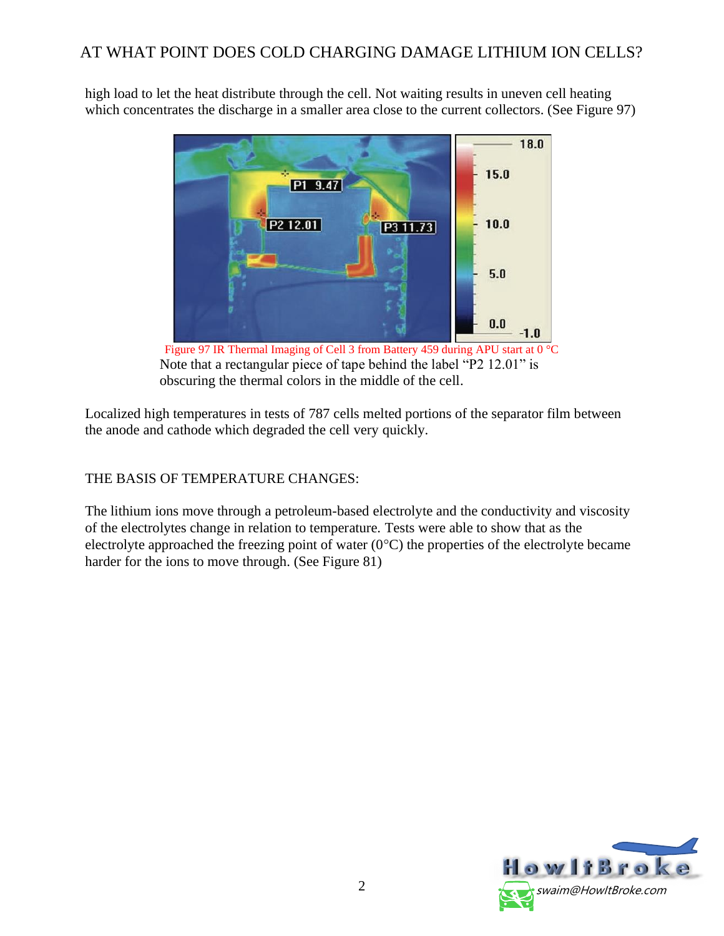high load to let the heat distribute through the cell. Not waiting results in uneven cell heating which concentrates the discharge in a smaller area close to the [current](http://www.cruisersforum.com/forums/tags/current.html) collectors. (See Figure 97)



Figure 97 IR Thermal Imaging of Cell 3 from Battery 459 during APU start at 0 °C Note that a rectangular piece of tape behind the label "P2 12.01" is obscuring the thermal colors in the middle of the cell.

Localized high temperatures in tests of 787 cells melted portions of the separator film between the anode and cathode which degraded the cell very quickly.

## THE BASIS OF TEMPERATURE CHANGES:

The lithium ions move through a petroleum-based electrolyte and the conductivity and viscosity of the electrolytes change in relation to temperature. Tests were able to show that as the electrolyte approached the freezing point of water  $(0^{\circ}C)$  the properties of the electrolyte became harder for the ions to move through. (See Figure 81)

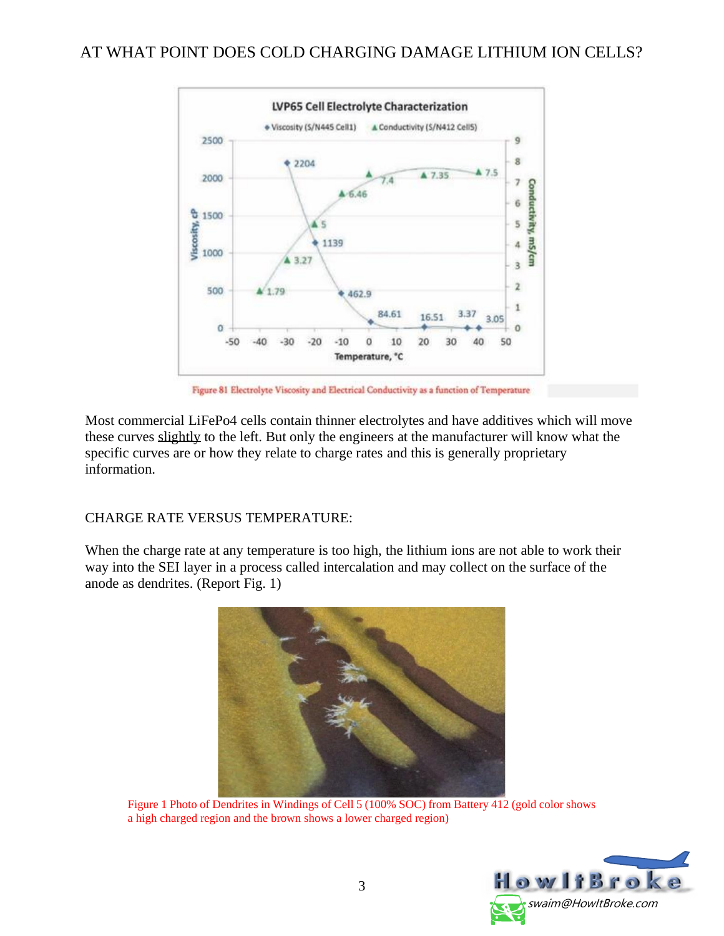## AT WHAT POINT DOES COLD CHARGING DAMAGE LITHIUM ION CELLS?



Figure 81 Electrolyte Viscosity and Electrical Conductivity as a function of Temperature

Most [commercial](http://www.cruisersforum.com/forums/tags/commercial.html) LiFePo4 cells contain thinner electrolytes and have additives which will move these curves slightly to the left. But only the engineers at the manufacturer will know what the specific curves are or how they relate to charge rates and this is generally proprietary information.

#### CHARGE RATE VERSUS TEMPERATURE:

When the charge rate at any temperature is too high, the lithium ions are not able to work their way into the SEI layer in a process called intercalation and may collect on the surface of the anode as dendrites. (Report Fig. 1)



Figure 1 Photo of Dendrites in Windings of Cell 5 (100% SOC) from Battery 412 (gold color shows a high charged region and the brown shows a lower charged region)

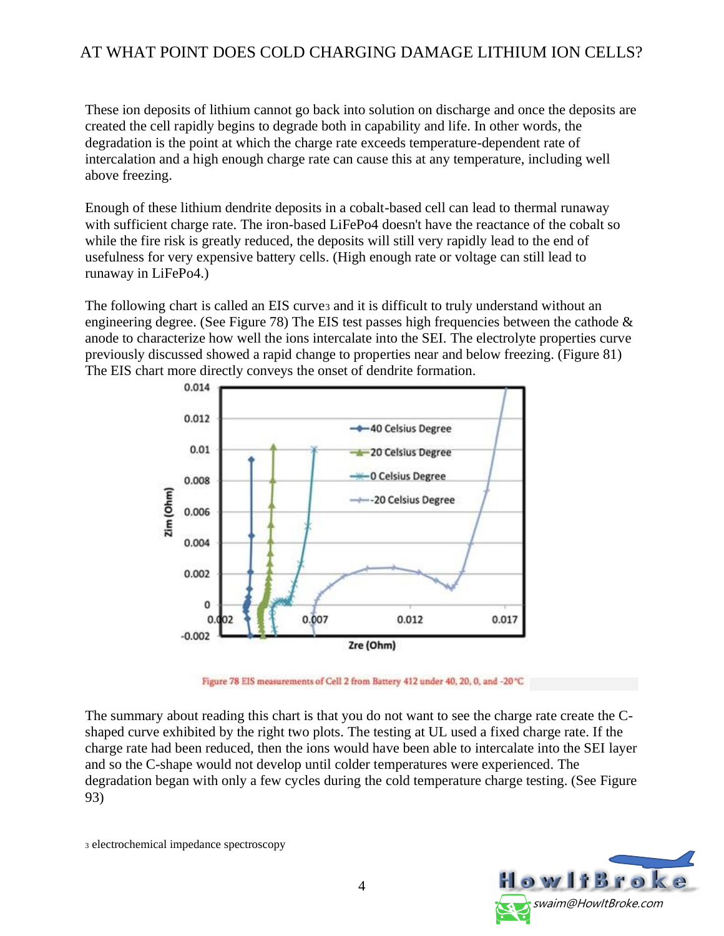# AT WHAT POINT DOES COLD CHARGING DAMAGE LITHIUM ION CELLS?

These ion deposits of lithium cannot go back into solution on discharge and once the deposits are created the cell rapidly begins to degrade both in capability and life. In other words, the degradation is the point at which the charge rate exceeds temperature-dependent rate of intercalation and a high enough charge rate can cause this at any temperature, including well above freezing.

Enough of these lithium dendrite deposits in a cobalt-based cell can lead to thermal runaway with sufficient charge rate. The iron-based LiFePo4 doesn't have the reactance of the cobalt so while the fire risk is greatly reduced, the deposits will still very rapidly lead to the end of usefulness for very expensive battery cells. (High enough rate or voltage can still lead to runaway in LiFePo4.)

The following chart is called an EIS curves and it is difficult to truly understand without an engineering degree. (See Figure 78) The EIS test passes high frequencies between the cathode  $\&$ anode to characterize how well the ions intercalate into the SEI. The electrolyte properties curve previously discussed showed a rapid change to properties near and below freezing. (Figure 81) The EIS chart more directly conveys the onset of dendrite formation.



Figure 78 EIS measurements of Cell 2 from Battery 412 under 40, 20, 0, and -20 °C

The summary about reading this chart is that you do not want to see the charge rate create the Cshaped curve exhibited by the right two plots. The testing at UL used a fixed charge rate. If the charge rate had been reduced, then the ions would have been able to intercalate into the SEI layer and so the C-shape would not develop until colder temperatures were experienced. The degradation began with only a few cycles during the cold temperature charge testing. (See Figure 93)

<sup>3</sup> electrochemical impedance spectroscopy